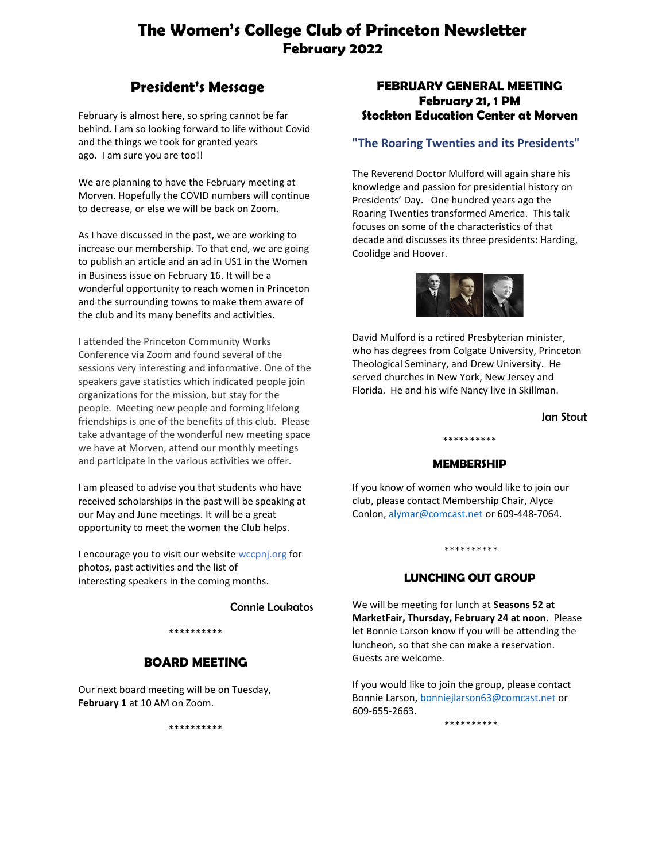# **The Women's College Club of Princeton Newsletter February 2022**

# **President's Message**

February is almost here, so spring cannot be far behind. I am so looking forward to life without Covid and the things we took for granted years ago. I am sure you are too!!

We are planning to have the February meeting at Morven. Hopefully the COVID numbers will continue to decrease, or else we will be back on Zoom.

As I have discussed in the past, we are working to increase our membership. To that end, we are going to publish an article and an ad in US1 in the Women in Business issue on February 16. It will be a wonderful opportunity to reach women in Princeton and the surrounding towns to make them aware of the club and its many benefits and activities.

I attended the Princeton Community Works Conference via Zoom and found several of the sessions very interesting and informative. One of the speakers gave statistics which indicated people join organizations for the mission, but stay for the people. Meeting new people and forming lifelong friendships is one of the benefits of this club. Please take advantage of the wonderful new meeting space we have at Morven, attend our monthly meetings and participate in the various activities we offer.

I am pleased to advise you that students who have received scholarships in the past will be speaking at our May and June meetings. It will be a great opportunity to meet the women the Club helps.

I encourage you to visit our website wccpnj.org for photos, past activities and the list of interesting speakers in the coming months.

Connie Loukatos

# \*\*\*\*\*\*\*\*\*\*

# **BOARD MEETING**

Our next board meeting will be on Tuesday, **February 1** at 10 AM on Zoom.

\*\*\*\*\*\*\*\*\*\*

# **FEBRUARY GENERAL MEETING February 21, 1 PM Stockton Education Center at Morven**

# **"The Roaring Twenties and its Presidents"**

The Reverend Doctor Mulford will again share his knowledge and passion for presidential history on Presidents' Day. One hundred years ago the Roaring Twenties transformed America. This talk focuses on some of the characteristics of that decade and discusses its three presidents: Harding, Coolidge and Hoover.



David Mulford is a retired Presbyterian minister, who has degrees from Colgate University, Princeton Theological Seminary, and Drew University. He served churches in New York, New Jersey and Florida. He and his wife Nancy live in Skillman.

Jan Stout

## **MEMBERSHIP**

\*\*\*\*\*\*\*\*\*\*

If you know of women who would like to join our club, please contact Membership Chair, Alyce Conlon, alymar@comcast.net or 609-448-7064.

### \*\*\*\*\*\*\*\*\*\*

# **LUNCHING OUT GROUP**

We will be meeting for lunch at **Seasons 52 at MarketFair, Thursday, February 24 at noon**. Please let Bonnie Larson know if you will be attending the luncheon, so that she can make a reservation. Guests are welcome.

If you would like to join the group, please contact Bonnie Larson, bonniejlarson63@comcast.net or 609-655-2663.

\*\*\*\*\*\*\*\*\*\*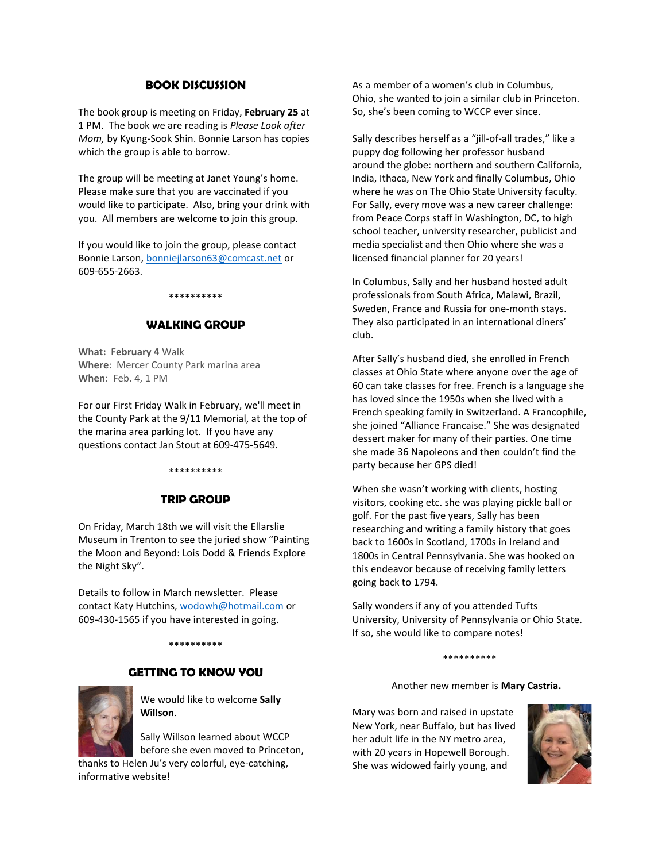## **BOOK DISCUSSION**

The book group is meeting on Friday, **February 25** at 1 PM. The book we are reading is *Please Look after Mom,* by Kyung-Sook Shin. Bonnie Larson has copies which the group is able to borrow.

The group will be meeting at Janet Young's home. Please make sure that you are vaccinated if you would like to participate. Also, bring your drink with you. All members are welcome to join this group.

If you would like to join the group, please contact Bonnie Larson, bonniejlarson63@comcast.net or 609-655-2663.

#### \*\*\*\*\*\*\*\*\*\*

### **WALKING GROUP**

**What: February 4** Walk **Where**: Mercer County Park marina area **When**: Feb. 4, 1 PM

For our First Friday Walk in February, we'll meet in the County Park at the 9/11 Memorial, at the top of the marina area parking lot. If you have any questions contact Jan Stout at 609-475-5649.

#### \*\*\*\*\*\*\*\*\*\*

### **TRIP GROUP**

On Friday, March 18th we will visit the Ellarslie Museum in Trenton to see the juried show "Painting the Moon and Beyond: Lois Dodd & Friends Explore the Night Sky".

Details to follow in March newsletter. Please contact Katy Hutchins, wodowh@hotmail.com or 609-430-1565 if you have interested in going.

\*\*\*\*\*\*\*\*\*\*

## **GETTING TO KNOW YOU**



We would like to welcome **Sally Willson**.

Sally Willson learned about WCCP before she even moved to Princeton,

thanks to Helen Ju's very colorful, eye-catching, informative website!

As a member of a women's club in Columbus, Ohio, she wanted to join a similar club in Princeton. So, she's been coming to WCCP ever since.

Sally describes herself as a "jill-of-all trades," like a puppy dog following her professor husband around the globe: northern and southern California, India, Ithaca, New York and finally Columbus, Ohio where he was on The Ohio State University faculty. For Sally, every move was a new career challenge: from Peace Corps staff in Washington, DC, to high school teacher, university researcher, publicist and media specialist and then Ohio where she was a licensed financial planner for 20 years!

In Columbus, Sally and her husband hosted adult professionals from South Africa, Malawi, Brazil, Sweden, France and Russia for one-month stays. They also participated in an international diners' club.

After Sally's husband died, she enrolled in French classes at Ohio State where anyone over the age of 60 can take classes for free. French is a language she has loved since the 1950s when she lived with a French speaking family in Switzerland. A Francophile, she joined "Alliance Francaise." She was designated dessert maker for many of their parties. One time she made 36 Napoleons and then couldn't find the party because her GPS died!

When she wasn't working with clients, hosting visitors, cooking etc. she was playing pickle ball or golf. For the past five years, Sally has been researching and writing a family history that goes back to 1600s in Scotland, 1700s in Ireland and 1800s in Central Pennsylvania. She was hooked on this endeavor because of receiving family letters going back to 1794.

Sally wonders if any of you attended Tufts University, University of Pennsylvania or Ohio State. If so, she would like to compare notes!

#### \*\*\*\*\*\*\*\*\*\*

Another new member is **Mary Castria.**

Mary was born and raised in upstate New York, near Buffalo, but has lived her adult life in the NY metro area, with 20 years in Hopewell Borough. She was widowed fairly young, and